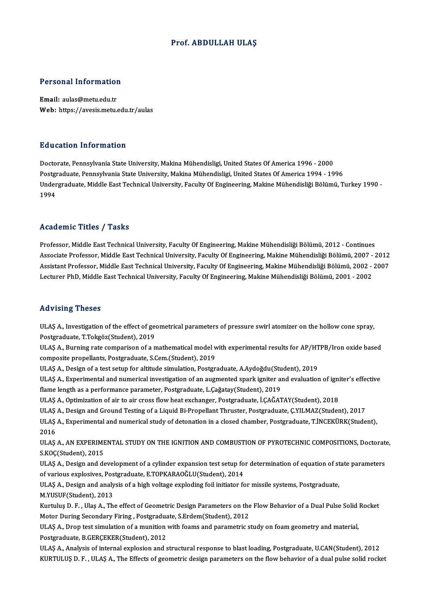#### Prof. ABDULLAH ULAŞ

# Personal Information

Personal Information<br>Email: aulas@metu.edu.tr<br>Web: https://avesis.mstu Email: aulas@metu.edu.tr<br>Web: https://avesis.metu.edu.tr/aulas

#### Education Information

<mark>Education Information</mark><br>Doctorate, Pennsylvania State University, Makina Mühendisligi, United States Of America 1996 - 2000<br>Postsraduate Pennsylvania State University, Makina Mühendisligi, United States Of America 1994 - 1 Puusuteen Tiitsi interne.<br>Doctorate, Pennsylvania State University, Makina Mühendisligi, United States Of America 1996 - 2000<br>Postgraduate, Pennsylvania State University, Makina Mühendisligi, United States Of America 1994 Doctorate, Pennsylvania State University, Makina Mühendisligi, United States Of America 1996 - 2000<br>Postgraduate, Pennsylvania State University, Makina Mühendisligi, United States Of America 1994 - 1996<br>Undergraduate, Midd Postgi<br>Under<br>1994 Academic Titles / Tasks

Professor, Middle East Technical University, Faculty Of Engineering, Makine Mühendisliği Bölümü, 2012 - Continues Associate Articus 7 Austis<br>Professor, Middle East Technical University, Faculty Of Engineering, Makine Mühendisliği Bölümü, 2012 - Continues<br>Associate Professor, Middle East Technical University, Faculty Of Engineering, Ma Professor, Middle East Technical University, Faculty Of Engineering, Makine Mühendisliği Bölümü, 2012 - Continues<br>Associate Professor, Middle East Technical University, Faculty Of Engineering, Makine Mühendisliği Bölümü, 2 Associate Professor, Middle East Technical University, Faculty Of Engineering, Makine Mühendisliği Bölümü, 2007<br>Assistant Professor, Middle East Technical University, Faculty Of Engineering, Makine Mühendisliği Bölümü, 200 Lecturer PhD, Middle East Technical University, Faculty Of Engineering, Makine Mühendisliği Bölümü, 2001 - 2002<br>Advising Theses

Advising Theses<br>ULAŞ A., Investigation of the effect of geometrical parameters of pressure swirl atomizer on the hollow cone spray,<br>Postsraduate, T.Toksës(Student), 2019. Postgraduate, T.T.<br>Postgraduate, T.Tokgöz(Student), 2019<br>III.AS.A., Purning rate comparison of a n ULAŞ A., Investigation of the effect of geometrical parameters of pressure swirl atomizer on the hollow cone spray,<br>Postgraduate, T.Tokgöz(Student), 2019<br>ULAŞ A., Burning rate comparison of a mathematical model with experi

Postgraduate, T.Tokgöz(Student), 2019<br>ULAŞ A., Burning rate comparison of a mathematical model with experimental results for AP/H<br>composite propellants, Postgraduate, S.Cem.(Student), 2019<br>ULAŞ A., Design of a test setup f ULAŞ A., Burning rate comparison of a mathematical model with experimental results for AP/HTPB/Iron oxide based

composite propellants, Postgraduate, S.Cem.(Student), 2019<br>ULAŞ A., Design of a test setup for altitude simulation, Postgraduate, A.Aydoğdu(Student), 2019<br>ULAŞ A., Experimental and numerical investigation of an augmented s flame length as a performance parameter, Postgraduate, L.Çağatay(Student), 2019<br>ULAS A., Optimization of air to air cross flow heat exchanger, Postgraduate, İ.CAĞATAY(Student), 2018 ULAŞ A., Experimental and numerical investigation of an augmented spark igniter and evaluation of ignitian<br>flame length as a performance parameter, Postgraduate, L.Çağatay(Student), 2019<br>ULAŞ A., Optimization of air to air

ULAŞ A., Design and Ground Testing of a Liquid Bi-Propellant Thruster, Postgraduate, Ç.YILMAZ(Student), 2017

ULAŞ A., Optimization of air to air cross flow heat exchanger, Postgraduate, İ.ÇAĞATAY(Student), 2018<br>ULAŞ A., Design and Ground Testing of a Liquid Bi-Propellant Thruster, Postgraduate, Ç.YILMAZ(Student), 2017<br>ULAŞ A., Ex ULAȘ<br>ULAȘ<br>2016<br>III AS ULAŞ A., Experimental and numerical study of detonation in a closed chamber, Postgraduate, T.İNCEKÜRK(Student),<br>2016<br>ULAŞ A., AN EXPERIMENTAL STUDY ON THE IGNITION AND COMBUSTION OF PYROTECHNIC COMPOSITIONS, Doctorate,<br>S.K

2016<br>ULAŞ A., AN EXPERIME<br>S.KOÇ(Student), 2015<br>ULAS A., Design and de ULAŞ A., AN EXPERIMENTAL STUDY ON THE IGNITION AND COMBUSTION OF PYROTECHNIC COMPOSITIONS, Doctorate<br>S.KOÇ(Student), 2015<br>ULAŞ A., Design and development of a cylinder expansion test setup for determination of equation of

S.KOÇ(Student), 2015<br>ULAŞ A., Design and development of a cylinder expansion test setup for determination of equation of state parameters<br>of various explosives, Postgraduate, E.TOPKARAOĞLU(Student), 2014 ULAŞ A., Design and development of a cylinder expansion test setup for determination of equation of st<br>of various explosives, Postgraduate, E.TOPKARAOĞLU(Student), 2014<br>ULAŞ A., Design and analysis of a high voltage explod

of various explosives, Pos<br>ULAŞ A., Design and analy<br>M.YUSUF(Student), 2013<br>Kurtulus D. E., Ulas A., Th ULAŞ A., Design and analysis of a high voltage exploding foil initiator for missile systems, Postgraduate,<br>M.YUSUF(Student), 2013<br>Kurtuluş D. F. , Ulaş A., The effect of Geometric Design Parameters on the Flow Behavior of

M.YUSUF(Student), 2013<br>Kurtuluş D. F. , Ulaş A., The effect of Geometric Design Parameters on the<br>Motor During Secondary Firing , Postgraduate, S.Erdem(Student), 2012<br>III AS A. Drep test simulation of a munition with foams Kurtuluş D. F. , Ulaş A., The effect of Geometric Design Parameters on the Flow Behavior of a Dual Pulse Solid Rocket<br>Motor During Secondary Firing , Postgraduate, S.Erdem(Student), 2012<br>ULAŞ A., Drop test simulation of a

Motor During Secondary Firing , Postgraduate, B.G.<br>ULAŞ A., Drop test simulation of a munition<br>Postgraduate, B.GERÇEKER(Student), 2012<br>III AS A. Analysis of internal synlogion and s

ULAŞ A., Analysis of internal explosion and structural response to blast loading, Postgraduate, U.CAN(Student), 2012 KURTULUŞ D.F., ULAŞ A., The Effects of geometric design parameters on the flow behavior of a dual pulse solid rocket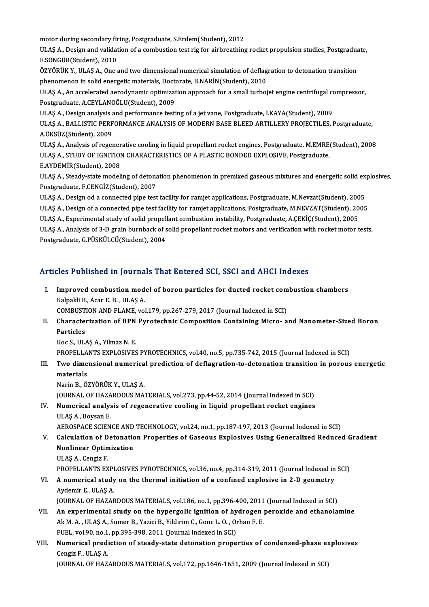motor during secondary firing, Postgraduate, S.Erdem(Student), 2012<br>III AS A. Dosirn and validation of a sembustion test ris for sirbreathing

motor during secondary firing, Postgraduate, S.Erdem(Student), 2012<br>ULAŞ A., Design and validation of a combustion test rig for airbreathing rocket propulsion studies, Postgraduate,<br>E SONGÜP(Student), 2010 motor during secondary fir<br>ULAŞ A., Design and validat<br>E.SONGÜR(Student), 2010<br>ÖZVÖPÜK Y., ULAS A., Ona s ULAŞ A., Design and validation of a combustion test rig for airbreathing rocket propulsion studies, Postgradua<br>E.SONGÜR(Student), 2010<br>ÖZYÖRÜK Y., ULAŞ A., One and two dimensional numerical simulation of deflagration to de E.SONGÜR(Student), 2010<br>ÖZYÖRÜK Y., ULAŞ A., One and two dimensional numerical simulation of deflagration to detonation transition

ÖZYÖRÜK Y., ULAŞ A., One and two dimensional numerical simulation of deflagration to detonation transition<br>phenomenon in solid energetic materials, Doctorate, B.NARİN(Student), 2010<br>ULAŞ A., An accelerated aerodynamic opti

phenomenon in solid energetic materials, Doctorate, B.NARİN(Student), 2010<br>ULAŞ A., An accelerated aerodynamic optimization approach for a small turbojet engine centrifugal c<br>Postgraduate, A.CEYLANOĞLU(Student), 2009<br>ULAŞ ULAŞ A., An accelerated aerodynamic optimization approach for a small turbojet engine centrifugal conditional<br>Postgraduate, A.CEYLANOĞLU(Student), 2009<br>ULAŞ A., Design analysis and performance testing of a jet vane, Postgr

ULAS A., BALLISTIC PERFORMANCE ANALYSIS OF MODERN BASE BLEED ARTILLERY PROJECTILES, Postgraduate, A.ÖKSÜZ(Student),2009 ULAŞ A., BALLISTIC PERFORMANCE ANALYSIS OF MODERN BASE BLEED ARTILLERY PROJECTILES, Postgraduate,<br>A.ÖKSÜZ(Student), 2009<br>ULAŞ A., Analysis of regenerative cooling in liquid propellant rocket engines, Postgraduate, M.EMRE(S

A.ÖKSÜZ(Student), 2009<br>ULAŞ A., Analysis of regenerative cooling in liquid propellant rocket engines, Postgraduate, M.EMRE<br>ULAŞ A., STUDY OF IGNITION CHARACTERISTICS OF A PLASTIC BONDED EXPLOSIVE, Postgraduate,<br>E AYDEMİR(S ULAŞ A., Analysis of regener<br>ULAŞ A., STUDY OF IGNITIOI<br>E.AYDEMİR(Student), 2008<br>III AS A., Steedy state modeli ULAŞ A., STUDY OF IGNITION CHARACTERISTICS OF A PLASTIC BONDED EXPLOSIVE, Postgraduate,<br>E.AYDEMİR(Student), 2008<br>ULAŞ A., Steady-state modeling of detonation phenomenon in premixed gaseous mixtures and energetic solid expl

E.AYDEMİR(Student), 2008<br>ULAŞ A., Steady-state modeling of detona<br>Postgraduate, F.CENGİZ(Student), 2007<br>III AS A., Desirn od a sannested nine test ULAŞ A., Steady-state modeling of detonation phenomenon in premixed gaseous mixtures and energetic solid ex<br>Postgraduate, F.CENGİZ(Student), 2007<br>ULAŞ A., Design od a connected pipe test facility for ramjet applications, P

Postgraduate, F.CENGİZ(Student), 2007<br>ULAŞ A., Design od a connected pipe test facility for ramjet applications, Postgraduate, M.Nevzat(Student), 2005<br>ULAŞ A., Design of a connected pipe test facility for ramjet applicatio ULAŞ A., Design od a connected pipe test facility for ramjet applications, Postgraduate, M.Nevzat(Student), 2005 ULAŞ A., Design of a connected pipe test facility for ramjet applications, Postgraduate, M.NEVZAT(Student), 2005<br>ULAŞ A., Experimental study of solid propellant combustion instability, Postgraduate, A.ÇEKİÇ(Student), 2005<br> ULAŞ A., Experimental study of solid propell<br>ULAŞ A., Analysis of 3-D grain burnback of s<br>Postgraduate, G.PÜSKÜLCÜ(Student), 2004

# Postgraduate, G.PÜSKÜLCÜ(Student), 2004<br>Articles Published in Journals That Entered SCI, SSCI and AHCI Indexes

rticles Published in Journals That Entered SCI, SSCI and AHCI Indexes<br>I. Improved combustion model of boron particles for ducted rocket combustion chambers<br>Kalpaki B. Agar E.B., ULAS A Kalpakli B., Acar E. B. , ULAŞ A.<br>Kalpakli B., Acar E. B. , ULAŞ A.<br>COMBUSTION AND ELAME vo Improved combustion model of boron particles for ducted rocket com<br>Kalpakli B., Acar E. B. , ULAŞ A.<br>COMBUSTION AND FLAME, vol.179, pp.267-279, 2017 (Journal Indexed in SCI)<br>Characterization of PPN Burateshnic Composition

Kalpakli B., Acar E. B. , ULAŞ A.<br>COMBUSTION AND FLAME, vol.179, pp.267-279, 2017 (Journal Indexed in SCI)<br>II. Characterization of BPN Pyrotechnic Composition Containing Micro- and Nanometer-Sized Boron<br>Particles COMBUST<br>Characte:<br>Particles<br>Kos S. III Particles<br>Koc S., ULAŞ A., Yilmaz N. E.<br>PROPELLANTS EXPLOSIVES PYROTECHNICS, vol.40, no.5, pp.735-742, 2015 (Journal Indexed in SCI)<br>Ture dimensional numerical prodiction of deflagration to detenstion transition in persus

Koc S., ULAŞ A., Yilmaz N.E.

## III. Two dimensional numerical prediction of deflagration-to-detonation transition in porous energetic materials PROPELLA<br>Two dime<br>materials<br>Narin P. Ö'

NarinB.,ÖZYÖRÜKY.,ULAŞA. materials<br>Narin B., ÖZYÖRÜK Y., ULAŞ A.<br>JOURNAL OF HAZARDOUS MATERIALS, vol.273, pp.44-52, 2014 (Journal Indexed in SCI)<br>Numerisel analysis of nazapenstive seeling in liquid prepallant realist engines Narin B., ÖZYÖRÜK Y., ULAŞ A.<br>JOURNAL OF HAZARDOUS MATERIALS, vol.273, pp.44-52, 2014 (Journal Indexed in SCI)<br>IV. Numerical analysis of regenerative cooling in liquid propellant rocket engines<br>III AS A. Boysan E

# **JOURNAL OF HAZA<br>Numerical analys<br>ULAŞ A., Boysan E.<br>AEROSBACE SCIEN** IV. Numerical analysis of regenerative cooling in liquid propellant rocket engines<br>ULAŞ A., Boysan E.<br>AEROSPACE SCIENCE AND TECHNOLOGY, vol.24, no.1, pp.187-197, 2013 (Journal Indexed in SCI)

## ULAŞ A., Boysan E.<br>AEROSPACE SCIENCE AND TECHNOLOGY, vol.24, no.1, pp.187-197, 2013 (Journal Indexed in SCI)<br>V. Calculation of Detonation Properties of Gaseous Explosives Using Generalized Reduced Gradient<br>Nonlinear Ontimi AEROSPACE SCIENCE AND<br>Calculation of Detonation<br>Nonlinear Optimization<br><sup>III AS A</sup> Congir E Calculation of D<br>Nonlinear Optin<br>ULAŞ A., Cengiz F.<br>PROPELLANTS EV Nonlinear Optimization<br>ULAŞ A., Cengiz F.<br>PROPELLANTS EXPLOSIVES PYROTECHNICS, vol.36, no.4, pp.314-319, 2011 (Journal Indexed in SCI)<br>A numerisel study on the thermal initiation of a senfined evplosive in 3. D seemetry

## ULAŞ A., Cengiz F.<br>PROPELLANTS EXPLOSIVES PYROTECHNICS, vol.36, no.4, pp.314-319, 2011 (Journal Indexed in<br>VI. A numerical study on the thermal initiation of a confined explosive in 2-D geometry PROPELLANTS EXPI<br>**A numerical study**<br>Aydemir E., ULAŞ A.<br>JOUPNAL OE HAZAE VI. A numerical study on the thermal initiation of a confined explosive in 2-D geometry<br>Aydemir E., ULAŞ A.<br>JOURNAL OF HAZARDOUS MATERIALS, vol.186, no.1, pp.396-400, 2011 (Journal Indexed in SCI)

#### VII. An experimental study on the hypergolic ignition of hydrogen peroxide and ethanolamine JOURNAL OF HAZARDOUS MATERIALS, vol.186, no.1, pp.396-400, 2011<br>An experimental study on the hypergolic ignition of hydrogen<br>Ak M. A., ULAŞ A., Sumer B., Yazici B., Yildirim C., Gonc L. O., Orhan F. E.<br>EUEL .vol.00, no.1, An experimental study on the hypergolic ignition of hy<br>Ak M. A. , ULAŞ A., Sumer B., Yazici B., Yildirim C., Gonc L. O. , Or<br>FUEL, vol.90, no.1, pp.395-398, 2011 (Journal Indexed in SCI)<br>Numerisel prediction of steady stat Ak M. A. , ULAŞ A., Sumer B., Yazici B., Yildirim C., Gonc L. O. , Orhan F. E.<br>FUEL, vol.90, no.1, pp.395-398, 2011 (Journal Indexed in SCI)<br>VIII. Numerical prediction of steady-state detonation properties of condensed-pha

FUEL, vol.90, no.1<br>Numerical predi<br>Cengiz F., ULAŞ A.<br>JOUPNAL OF HAZ Numerical prediction of steady-state detonation properties of condensed-phase ex<br>Cengiz F., ULAŞ A.<br>JOURNAL OF HAZARDOUS MATERIALS, vol.172, pp.1646-1651, 2009 (Journal Indexed in SCI)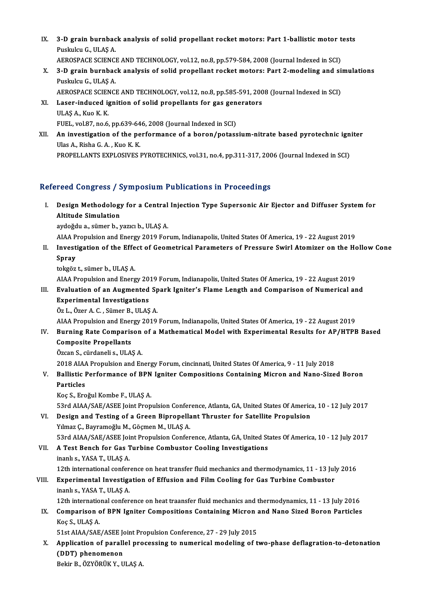- IX. 3-D grain burnback analysis of solid propellant rocket motors: Part 1-ballistic motor tests<br>Ruskylav G. W.AS.A 3-D grain burnbac<br>Puskulcu G., ULAŞ A.<br>AEROSPACE SCIENCI 3-D grain burnback analysis of solid propellant rocket motors: Part 1-ballistic motor t<br>Puskulcu G., ULAŞ A.<br>AEROSPACE SCIENCE AND TECHNOLOGY, vol.12, no.8, pp.579-584, 2008 (Journal Indexed in SCI)<br>2. D. grain burnback an
- Puskulcu G., ULAŞ A.<br>AEROSPACE SCIENCE AND TECHNOLOGY, vol.12, no.8, pp.579-584, 2008 (Journal Indexed in SCI)<br>X. 3-D grain burnback analysis of solid propellant rocket motors: Part 2-modeling and simulations<br>Ruskulcu G. H AEROSPACE SCIENCI<br>3-D grain burnbac<br>Puskulcu G., ULAŞ A.<br>AEROSPACE SCIENCI 3-D grain burnback analysis of solid propellant rocket motors: Part 2-modeling and si<br>Puskulcu G., ULAŞ A.<br>AEROSPACE SCIENCE AND TECHNOLOGY, vol.12, no.8, pp.585-591, 2008 (Journal Indexed in SCI)<br>Laser induced ignition of
	-
- Puskulcu G., ULAŞ A.<br>AEROSPACE SCIENCE AND TECHNOLOGY, vol.12, no.8, pp.585-591, 200<br>XI. Laser-induced ignition of solid propellants for gas generators<br>III AS A. Kuo K K. AEROSPACE SCIEN<br>Laser-induced ig<br>ULAŞ A., Kuo K. K.<br>EUEL vol 87 no 6 Laser-induced ignition of solid propellants for gas gen<br>ULAŞ A., Kuo K. K.<br>FUEL, vol.87, no.6, pp.639-646, 2008 (Journal Indexed in SCI)<br>An investigation of the performance of a baren/potass
- ULAŞ A., Kuo K. K.<br>FUEL, vol.87, no.6, pp.639-646, 2008 (Journal Indexed in SCI)<br>XII. An investigation of the performance of a boron/potassium-nitrate based pyrotechnic igniter<br>Illas A. Bisha G. A. Kuo K. K. FUEL, vol.87, no.6, pp.639-64<br>An investigation of the pe<br>Ulas A., Risha G. A. , Kuo K. K.<br>PROPELLANTS EVPLOSIVES I An investigation of the performance of a boron/potassium-nitrate based pyrotechnic ign<br>Ulas A., Risha G. A. , Kuo K. K.<br>PROPELLANTS EXPLOSIVES PYROTECHNICS, vol.31, no.4, pp.311-317, 2006 (Journal Indexed in SCI) PROPELLANTS EXPLOSIVES PYROTECHNICS, vol.31, no.4, pp.311-317, 2006 (Journal Indexed in SCI)<br>Refereed Congress / Symposium Publications in Proceedings

efereed Congress / Symposium Publications in Proceedings<br>I. Design Methodology for a Central Injection Type Supersonic Air Ejector and Diffuser System for<br>Altitude Simulation Altitude Simplesse<br>Altitude Simulation<br>Altitude Simulation **Design Methodology for a Central<br>Altitude Simulation<br>aydoğdu a., sümer b., yazıcı b., ULAŞ A.<br>AJAA Propulsion and Energy 2010 Fon** Altitude Simulation<br>aydoğdu a., sümer b., yazıcı b., ULAŞ A.<br>AIAA Propulsion and Energy 2019 Forum, Indianapolis, United States Of America, 19 - 22 August 2019<br>Investigation of the Effect of Coometrical Barameters of Bross

aydoğdu a., sümer b., yazıcı b., ULAŞ A.<br>AIAA Propulsion and Energy 2019 Forum, Indianapolis, United States Of America, 19 - 22 August 2019<br>II. Investigation of the Effect of Geometrical Parameters of Pressure Swirl At AIAA P<br>Investi<br>Spray<br>teksëz Investigation of the Effe<br>Spray<br>tokgöz t., sümer b., ULAŞ A.<br>AJAA Propulsion and Energ S<mark>pray</mark><br>tokgöz t., sümer b., ULAŞ A.<br>AIAA Propulsion and Energy 2019 Forum, Indianapolis, United States Of America, 19 - 22 August 2019<br>Evaluation of an Augmented Spark Igniter's Elame Langth and Comparison of Numerical ar

## tokgöz t., sümer b., ULAŞ A.<br>AIAA Propulsion and Energy 2019 Forum, Indianapolis, United States Of America, 19 - 22 August 2019<br>III. Evaluation of an Augmented Spark Igniter's Flame Length and Comparison of Numerical and<br>E AIAA Propulsion and Energy 20<br>Evaluation of an Augmented<br>Experimental Investigations<br>ÖzL, Özer A.C., Sümer B. III AS III. Evaluation of an Augmented Spark Igniter's Flame Length and Comparison of Numerical and Experimental Investigations<br>Öz L., Özer A. C. , Sümer B., ULAŞ A.

AIAA Propulsion and Energy 2019 Forum, Indianapolis, United States Of America, 19 - 22 August 2019

## Öz L., Özer A. C. , Sümer B., ULAŞ A.<br>AIAA Propulsion and Energy 2019 Forum, Indianapolis, United States Of America, 19 - 22 August 2019<br>IV. Burning Rate Comparison of a Mathematical Model with Experimental Results for Composite Propellants<br>Özcan S., cürdaneli s., ULAŞ A. Burning Rate Comparison<br>Composite Propellants<br>Özcan S., cürdaneli s., ULAŞ A.<br>2018 AJAA Propulsion and En

2018 AIAA Propulsion and Energy Forum, cincinnati, United States Of America, 9 - 11 July 2018 Özcan S., cürdaneli s., ULAŞ A.<br>2018 AIAA Propulsion and Energy Forum, cincinnati, United States Of America, 9 - 11 July 2018<br>V. Ballistic Performance of BPN Igniter Compositions Containing Micron and Nano-Sized Boron<br> 2018 AIAA<br>Ballistic I<br>Particles<br>Kos S. Eng

Ballistic Performance of BPN<br>Particles<br>Koç S., Eroğul Kombe F., ULAŞ A.<br>E<sup>2</sup>rd AJAA (SAE (ASEE Joint Prop

Particles<br>Koç S., Eroğul Kombe F., ULAŞ A.<br>53rd AIAA/SAE/ASEE Joint Propulsion Conference, Atlanta, GA, United States Of America, 10 - 12 July 2017<br>Design and Testing of a Creen Binropollant Thruster for Satellite Bropulsi

Koç S., Eroğul Kombe F., ULAŞ A.<br>53rd AIAA/SAE/ASEE Joint Propulsion Conference, Atlanta, GA, United States Of Americ.<br>VI. Design and Testing of a Green Bipropellant Thruster for Satellite Propulsion<br>Vilmer C. Bayramoğlu M 53rd AIAA/SAE/ASEE Joint Propulsion Confer<br>Design and Testing of a Green Bipropella<br>Yılmaz Ç., Bayramoğlu M., Göçmen M., ULAŞ A. Design and Testing of a Green Bipropellant Thruster for Satellite Propulsion<br>Yılmaz Ç., Bayramoğlu M., Göçmen M., ULAŞ A.<br>53rd AIAA/SAE/ASEE Joint Propulsion Conference, Atlanta, GA, United States Of America, 10 - 12 July

Yılmaz Ç., Bayramoğlu M., Göçmen M., ULAŞ A.<br>53rd AIAA/SAE/ASEE Joint Propulsion Conference, Atlanta, GA, United St<br>VII. A Test Bench for Gas Turbine Combustor Cooling Investigations<br>inanlı s., YASA T., ULAS A. 53rd AIAA/SAE/ASEE Joi<br>**A Test Bench for Gas T**<br>inanlı s., YASA T., ULAŞ A.<br>12th international confor 12th Test Bench for Gas Turbine Combustor Cooling Investigations<br>12th international conference on heat transfer fluid mechanics and thermodynamics, 11 - 13 July 2016<br>Experimental Investigation of Effusion and Eilm Cooling

#### VIII. Experimental Investigation of Effusion and Film Cooling for Gas Turbine Combustor inanlı s., YASA T., ULAŞ A. 12th international conferent<br>Experimental Investiga<br>inanlı s., YASA T., ULAŞ A. Experimental Investigation of Effusion and Film Cooling for Gas Turbine Combustor<br>inanlı s., YASA T., ULAŞ A.<br>12th international conference on heat traansfer fluid mechanics and thermodynamics, 11 - 13 July 2016<br>Comparison

## inanlı s., YASA T., ULAŞ A.<br>12th international conference on heat traansfer fluid mechanics and thermodynamics, 11 - 13 July 2016<br>IX. Comparison of BPN Igniter Compositions Containing Micron and Nano Sized Boron Particles<br> 12th internatio<br>Comparison c<br>Koç S., ULAŞ A.<br>51st AJAA (SAE Comparison of BPN Igniter Compositions Containing Micron and New Yorks.<br>51st AIAA/SAE/ASEE Joint Propulsion Conference, 27 - 29 July 2015<br>Application of parallel processing to purporisel modeling of t

Koç S., ULAŞ A.<br>51st AIAA/SAE/ASEE Joint Propulsion Conference, 27 - 29 July 2015<br>X. Application of parallel processing to numerical modeling of two-phase deflagration-to-detonation<br>(DDT) phanamanan 51st AIAA/SAE/ASEE Joint Propulsion Conference, 27 - 29 July 2015<br>Application of parallel processing to numerical modeling of t<br>(DDT) phenomenon<br>Bekir B., ÖZYÖRÜK Y., ULAŞ A. Application of parallel pro<br>(DDT) phenomenon<br>Bekir B., ÖZYÖRÜK Y., ULAŞ A.